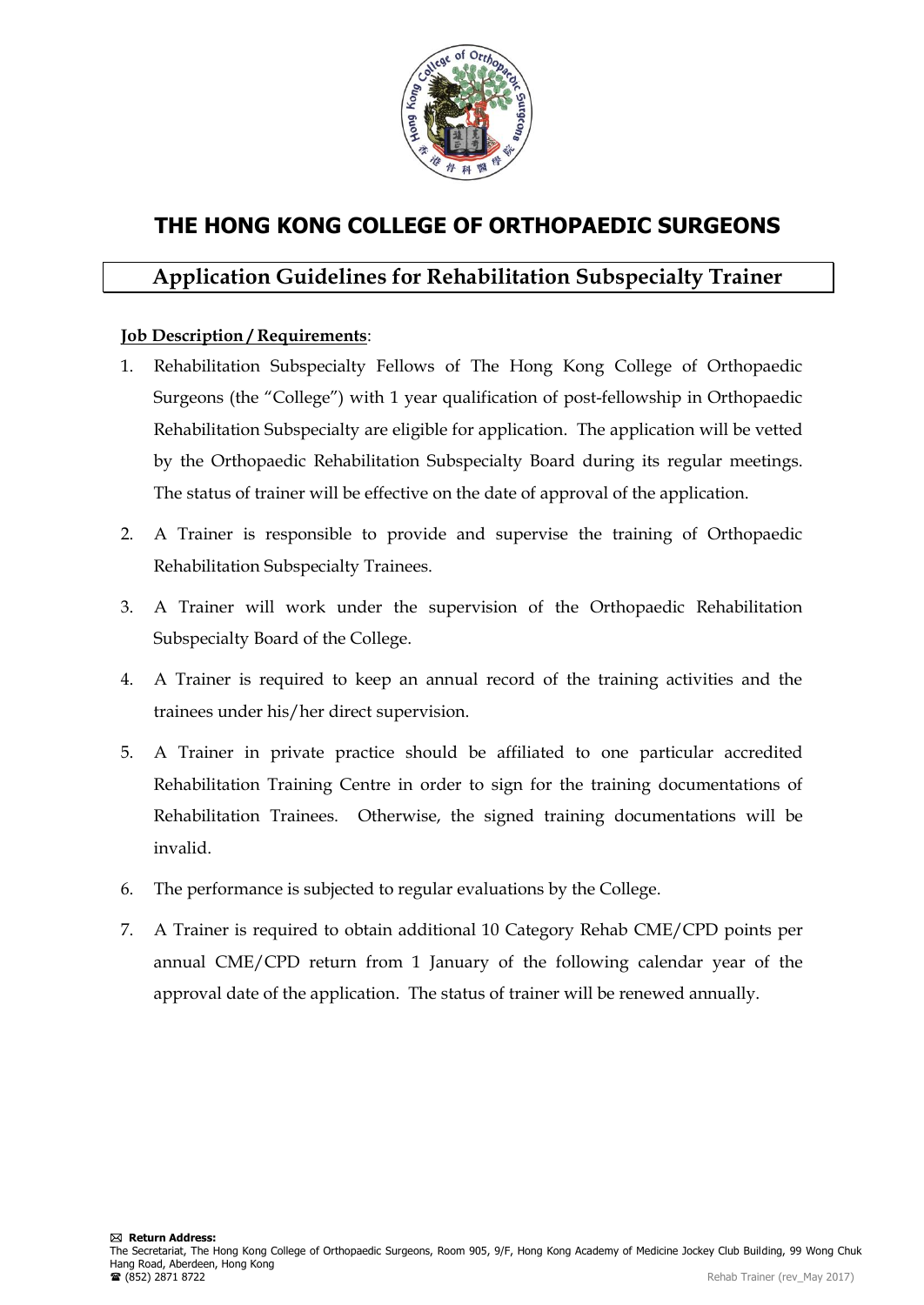

# **THE HONG KONG COLLEGE OF ORTHOPAEDIC SURGEONS**

## **Application Guidelines for Rehabilitation Subspecialty Trainer**

### **Job Description / Requirements**:

- 1. Rehabilitation Subspecialty Fellows of The Hong Kong College of Orthopaedic Surgeons (the "College") with 1 year qualification of post-fellowship in Orthopaedic Rehabilitation Subspecialty are eligible for application. The application will be vetted by the Orthopaedic Rehabilitation Subspecialty Board during its regular meetings. The status of trainer will be effective on the date of approval of the application.
- 2. A Trainer is responsible to provide and supervise the training of Orthopaedic Rehabilitation Subspecialty Trainees.
- 3. A Trainer will work under the supervision of the Orthopaedic Rehabilitation Subspecialty Board of the College.
- 4. A Trainer is required to keep an annual record of the training activities and the trainees under his/her direct supervision.
- 5. A Trainer in private practice should be affiliated to one particular accredited Rehabilitation Training Centre in order to sign for the training documentations of Rehabilitation Trainees. Otherwise, the signed training documentations will be invalid.
- 6. The performance is subjected to regular evaluations by the College.
- 7. A Trainer is required to obtain additional 10 Category Rehab CME/CPD points per annual CME/CPD return from 1 January of the following calendar year of the approval date of the application. The status of trainer will be renewed annually.